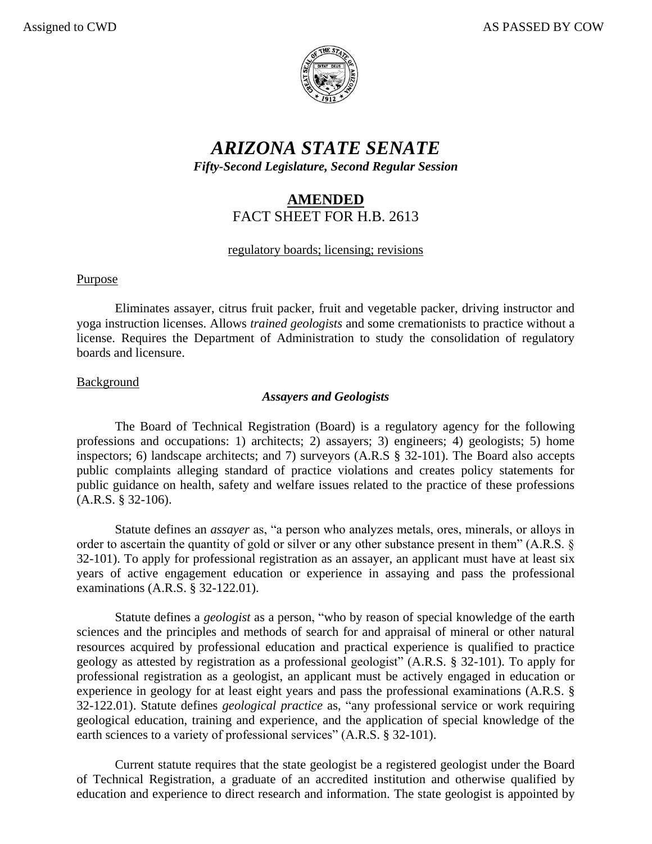

# *ARIZONA STATE SENATE Fifty-Second Legislature, Second Regular Session*

# **AMENDED** FACT SHEET FOR H.B. 2613

# regulatory boards; licensing; revisions

#### Purpose

Eliminates assayer, citrus fruit packer, fruit and vegetable packer, driving instructor and yoga instruction licenses. Allows *trained geologists* and some cremationists to practice without a license. Requires the Department of Administration to study the consolidation of regulatory boards and licensure.

# Background

# *Assayers and Geologists*

The Board of Technical Registration (Board) is a regulatory agency for the following professions and occupations: 1) architects; 2) assayers; 3) engineers; 4) geologists; 5) home inspectors; 6) landscape architects; and 7) surveyors (A.R.S § 32-101). The Board also accepts public complaints alleging standard of practice violations and creates policy statements for public guidance on health, safety and welfare issues related to the practice of these professions (A.R.S. § 32-106).

Statute defines an *assayer* as, "a person who analyzes metals, ores, minerals, or alloys in order to ascertain the quantity of gold or silver or any other substance present in them" (A.R.S. § 32-101). To apply for professional registration as an assayer, an applicant must have at least six years of active engagement education or experience in assaying and pass the professional examinations (A.R.S. § 32-122.01).

Statute defines a *geologist* as a person, "who by reason of special knowledge of the earth sciences and the principles and methods of search for and appraisal of mineral or other natural resources acquired by professional education and practical experience is qualified to practice geology as attested by registration as a professional geologist" (A.R.S. § 32-101). To apply for professional registration as a geologist, an applicant must be actively engaged in education or experience in geology for at least eight years and pass the professional examinations (A.R.S. § 32-122.01). Statute defines *geological practice* as, "any professional service or work requiring geological education, training and experience, and the application of special knowledge of the earth sciences to a variety of professional services" (A.R.S. § 32-101).

Current statute requires that the state geologist be a registered geologist under the Board of Technical Registration, a graduate of an accredited institution and otherwise qualified by education and experience to direct research and information. The state geologist is appointed by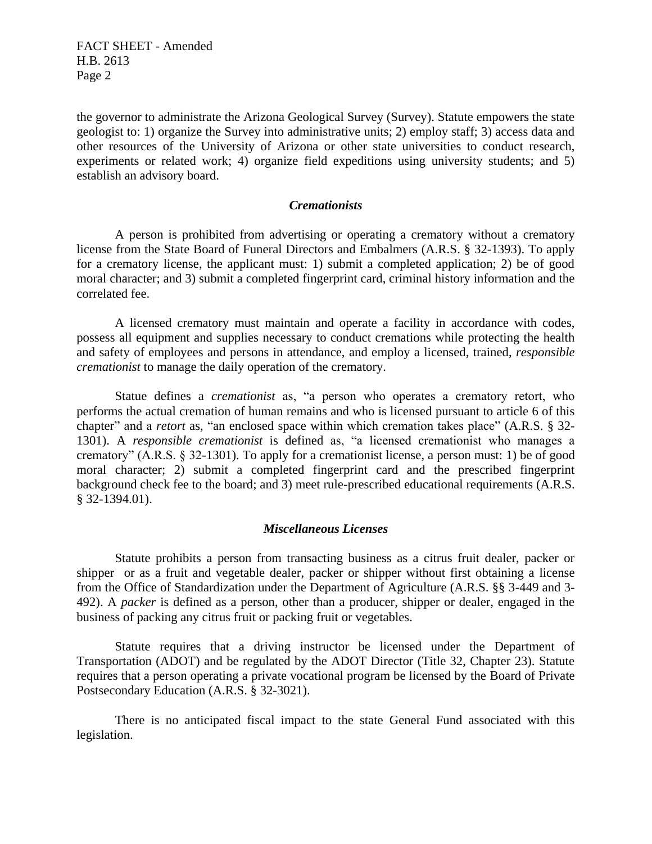FACT SHEET - Amended H.B. 2613 Page 2

the governor to administrate the Arizona Geological Survey (Survey). Statute empowers the state geologist to: 1) organize the Survey into administrative units; 2) employ staff; 3) access data and other resources of the University of Arizona or other state universities to conduct research, experiments or related work; 4) organize field expeditions using university students; and 5) establish an advisory board.

#### *Cremationists*

A person is prohibited from advertising or operating a crematory without a crematory license from the State Board of Funeral Directors and Embalmers (A.R.S. § 32-1393). To apply for a crematory license, the applicant must: 1) submit a completed application; 2) be of good moral character; and 3) submit a completed fingerprint card, criminal history information and the correlated fee.

A licensed crematory must maintain and operate a facility in accordance with codes, possess all equipment and supplies necessary to conduct cremations while protecting the health and safety of employees and persons in attendance, and employ a licensed, trained, *responsible cremationist* to manage the daily operation of the crematory.

Statue defines a *cremationist* as, "a person who operates a crematory retort, who performs the actual cremation of human remains and who is licensed pursuant to article 6 of this chapter" and a *retort* as, "an enclosed space within which cremation takes place" (A.R.S. § 32- 1301). A *responsible cremationist* is defined as, "a licensed cremationist who manages a crematory" (A.R.S. § 32-1301). To apply for a cremationist license, a person must: 1) be of good moral character; 2) submit a completed fingerprint card and the prescribed fingerprint background check fee to the board; and 3) meet rule-prescribed educational requirements (A.R.S. § 32-1394.01).

#### *Miscellaneous Licenses*

Statute prohibits a person from transacting business as a citrus fruit dealer, packer or shipper or as a fruit and vegetable dealer, packer or shipper without first obtaining a license from the Office of Standardization under the Department of Agriculture (A.R.S. §§ 3-449 and 3- 492). A *packer* is defined as a person, other than a producer, shipper or dealer, engaged in the business of packing any citrus fruit or packing fruit or vegetables.

Statute requires that a driving instructor be licensed under the Department of Transportation (ADOT) and be regulated by the ADOT Director (Title 32, Chapter 23). Statute requires that a person operating a private vocational program be licensed by the Board of Private Postsecondary Education (A.R.S. § 32-3021).

There is no anticipated fiscal impact to the state General Fund associated with this legislation.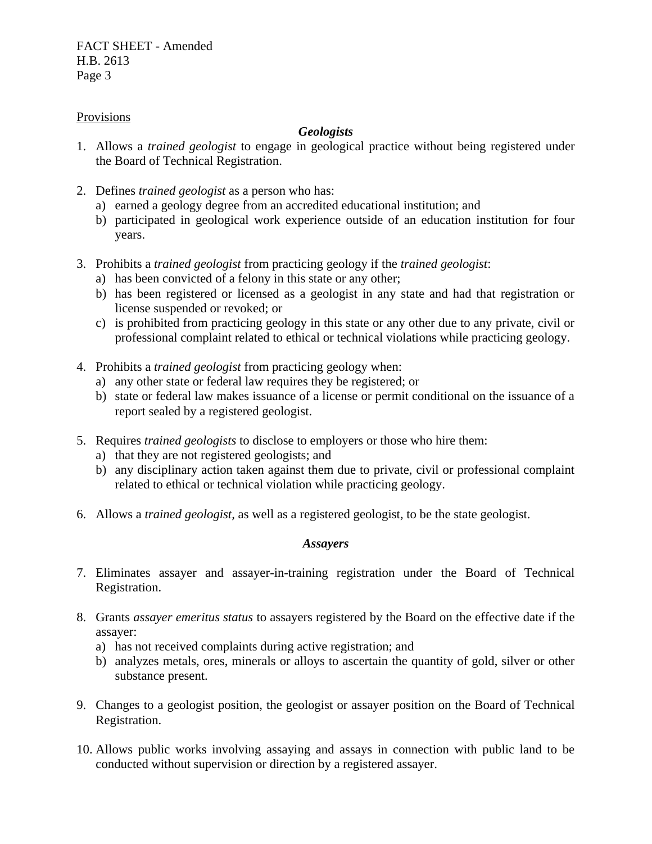FACT SHEET - Amended H.B. 2613 Page 3

#### Provisions

# *Geologists*

- 1. Allows a *trained geologist* to engage in geological practice without being registered under the Board of Technical Registration.
- 2. Defines *trained geologist* as a person who has:
	- a) earned a geology degree from an accredited educational institution; and
	- b) participated in geological work experience outside of an education institution for four years.
- 3. Prohibits a *trained geologist* from practicing geology if the *trained geologist*:
	- a) has been convicted of a felony in this state or any other;
	- b) has been registered or licensed as a geologist in any state and had that registration or license suspended or revoked; or
	- c) is prohibited from practicing geology in this state or any other due to any private, civil or professional complaint related to ethical or technical violations while practicing geology.
- 4. Prohibits a *trained geologist* from practicing geology when:
	- a) any other state or federal law requires they be registered; or
	- b) state or federal law makes issuance of a license or permit conditional on the issuance of a report sealed by a registered geologist.
- 5. Requires *trained geologists* to disclose to employers or those who hire them:
	- a) that they are not registered geologists; and
	- b) any disciplinary action taken against them due to private, civil or professional complaint related to ethical or technical violation while practicing geology.
- 6. Allows a *trained geologist,* as well as a registered geologist, to be the state geologist.

#### *Assayers*

- 7. Eliminates assayer and assayer-in-training registration under the Board of Technical Registration.
- 8. Grants *assayer emeritus status* to assayers registered by the Board on the effective date if the assayer:
	- a) has not received complaints during active registration; and
	- b) analyzes metals, ores, minerals or alloys to ascertain the quantity of gold, silver or other substance present.
- 9. Changes to a geologist position, the geologist or assayer position on the Board of Technical Registration.
- 10. Allows public works involving assaying and assays in connection with public land to be conducted without supervision or direction by a registered assayer.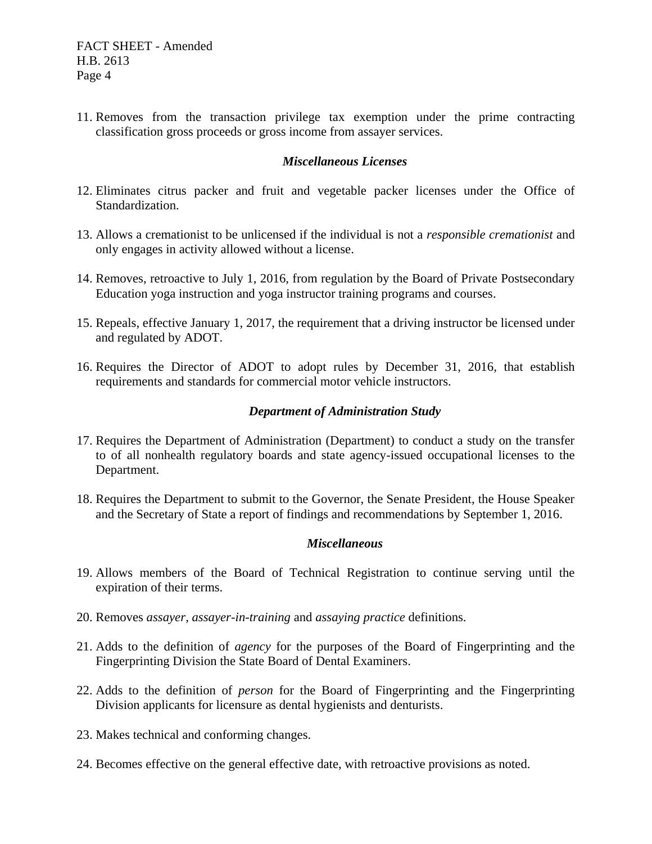11. Removes from the transaction privilege tax exemption under the prime contracting classification gross proceeds or gross income from assayer services.

#### *Miscellaneous Licenses*

- 12. Eliminates citrus packer and fruit and vegetable packer licenses under the Office of Standardization.
- 13. Allows a cremationist to be unlicensed if the individual is not a *responsible cremationist* and only engages in activity allowed without a license.
- 14. Removes, retroactive to July 1, 2016, from regulation by the Board of Private Postsecondary Education yoga instruction and yoga instructor training programs and courses.
- 15. Repeals, effective January 1, 2017, the requirement that a driving instructor be licensed under and regulated by ADOT.
- 16. Requires the Director of ADOT to adopt rules by December 31, 2016, that establish requirements and standards for commercial motor vehicle instructors.

#### *Department of Administration Study*

- 17. Requires the Department of Administration (Department) to conduct a study on the transfer to of all nonhealth regulatory boards and state agency-issued occupational licenses to the Department.
- 18. Requires the Department to submit to the Governor, the Senate President, the House Speaker and the Secretary of State a report of findings and recommendations by September 1, 2016.

#### *Miscellaneous*

- 19. Allows members of the Board of Technical Registration to continue serving until the expiration of their terms.
- 20. Removes *assayer*, *assayer-in-training* and *assaying practice* definitions.
- 21. Adds to the definition of *agency* for the purposes of the Board of Fingerprinting and the Fingerprinting Division the State Board of Dental Examiners.
- 22. Adds to the definition of *person* for the Board of Fingerprinting and the Fingerprinting Division applicants for licensure as dental hygienists and denturists.
- 23. Makes technical and conforming changes.
- 24. Becomes effective on the general effective date, with retroactive provisions as noted.